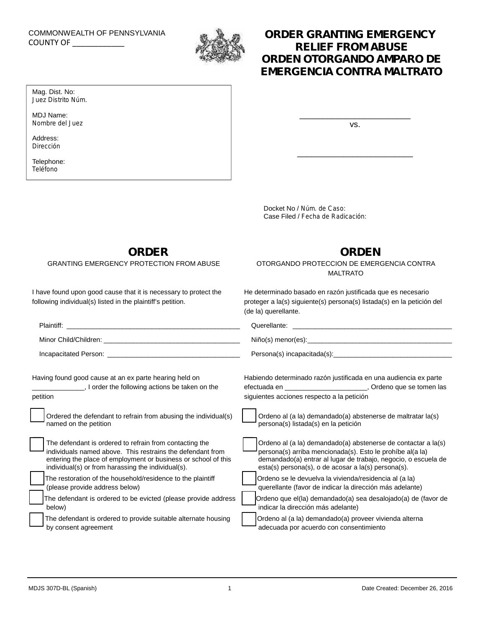# COMMONWEALTH OF PENNSYLVANIA

Mag. Dist. No: *Juez Distrito Núm.*

MDJ Name: *Nombre del Juez*

Address: *Dirección* Telephone: *Teléfono*



## COMMONWEALTH OF PENNSYLVANIA **SERVICE COUNTY OF SERVICE COUNTY OF SERVICE COUNTY OF RELIEF FROM ABUSE** *ORDEN OTORGANDO AMPARO DE EMERGENCIA CONTRA MALTRATO*

vs.

\_\_\_\_\_\_\_\_\_\_\_\_\_\_\_\_\_\_\_\_\_\_\_\_\_

\_\_\_\_\_\_\_\_\_\_\_\_\_\_\_\_\_\_\_\_\_\_\_\_

Docket No / *Núm. de Caso*: Case Filed / *Fecha de Radicación*:

**ORDER**

GRANTING EMERGENCY PROTECTION FROM ABUSE

I have found upon good cause that it is necessary to protect the following individual(s) listed in the plaintiff's petition.

## **ORDEN**

### OTORGANDO PROTECCION DE EMERGENCIA CONTRA MALTRATO

He determinado basado en razón justificada que es necesario proteger a la(s) siguiente(s) persona(s) listada(s) en la petición del (de la) querellante.

|                                                                 | Querellante: experience and a series of the series of the series of the series of the series of the series of the series of the series of the series of the series of the series of the series of the series of the series of |
|-----------------------------------------------------------------|-------------------------------------------------------------------------------------------------------------------------------------------------------------------------------------------------------------------------------|
|                                                                 |                                                                                                                                                                                                                               |
|                                                                 |                                                                                                                                                                                                                               |
| Having found good cause at an ex parte hearing held on          | Habiendo determinado razón justificada en una audiencia ex parte                                                                                                                                                              |
| I order the following actions be taken on the                   | efectuada en __________________________, Ordeno que se tomen las                                                                                                                                                              |
| petition                                                        | siguientes acciones respecto a la petición                                                                                                                                                                                    |
| Ordered the defendant to refrain from abusing the individual(s) | Ordeno al (a la) demandado(a) abstenerse de maltratar la(s)                                                                                                                                                                   |
| named on the petition                                           | persona(s) listada(s) en la petición                                                                                                                                                                                          |
| The defendant is ordered to refrain from contacting the         | Ordeno al (a la) demandado(a) abstenerse de contactar a la(s)                                                                                                                                                                 |
| individuals named above. This restrains the defendant from      | persona(s) arriba mencionada(s). Esto le prohíbe al(a la)                                                                                                                                                                     |
| entering the place of employment or business or school of this  | demandado(a) entrar al lugar de trabajo, negocio, o escuela de                                                                                                                                                                |
| individual(s) or from harassing the individual(s).              | esta(s) persona(s), o de acosar a la(s) persona(s).                                                                                                                                                                           |
| The restoration of the household/residence to the plaintiff     | Ordeno se le devuelva la vivienda/residencia al (a la)                                                                                                                                                                        |
| (please provide address below)                                  | querellante (favor de indicar la dirección más adelante)                                                                                                                                                                      |
| The defendant is ordered to be evicted (please provide address  | Ordeno que el(la) demandado(a) sea desalojado(a) de (favor de                                                                                                                                                                 |
| below)                                                          | indicar la dirección más adelante)                                                                                                                                                                                            |
| The defendant is ordered to provide suitable alternate housing  | Ordeno al (a la) demandado(a) proveer vivienda alterna                                                                                                                                                                        |
| by consent agreement                                            | adecuada por acuerdo con consentimiento                                                                                                                                                                                       |